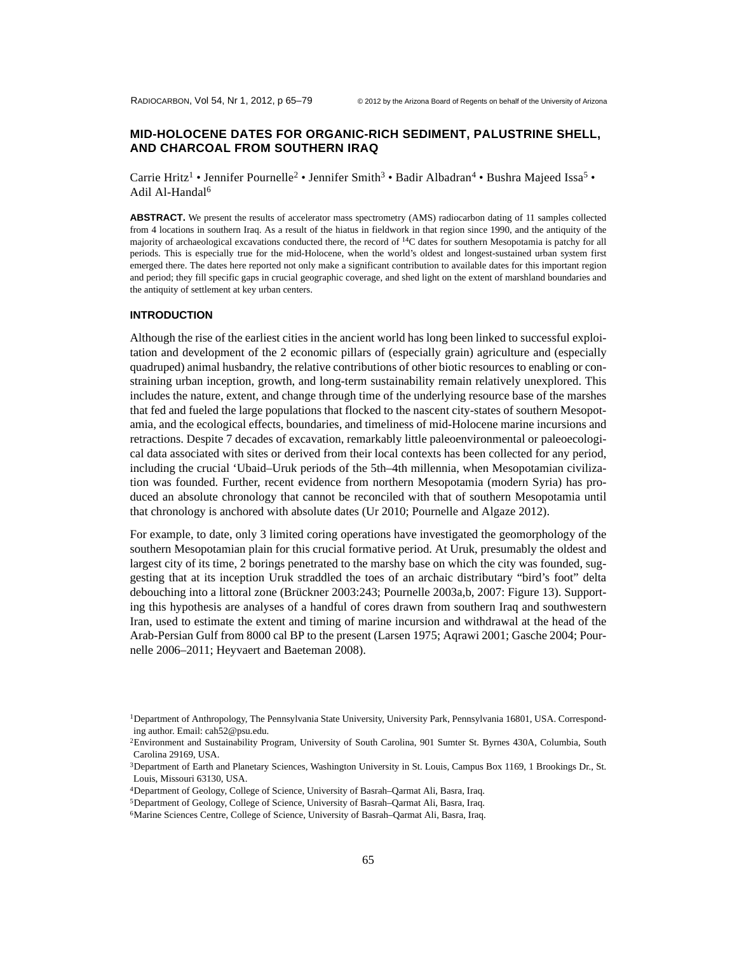# **MID-HOLOCENE DATES FOR ORGANIC-RICH SEDIMENT, PALUSTRINE SHELL, AND CHARCOAL FROM SOUTHERN IRAQ**

Carrie Hritz<sup>1</sup> • Jennifer Pournelle<sup>2</sup> • Jennifer Smith<sup>3</sup> • Badir Albadran<sup>4</sup> • Bushra Majeed Issa<sup>5</sup> • Adil Al-Handal6

**ABSTRACT.** We present the results of accelerator mass spectrometry (AMS) radiocarbon dating of 11 samples collected from 4 locations in southern Iraq. As a result of the hiatus in fieldwork in that region since 1990, and the antiquity of the majority of archaeological excavations conducted there, the record of 14C dates for southern Mesopotamia is patchy for all periods. This is especially true for the mid-Holocene, when the world's oldest and longest-sustained urban system first emerged there. The dates here reported not only make a significant contribution to available dates for this important region and period; they fill specific gaps in crucial geographic coverage, and shed light on the extent of marshland boundaries and the antiquity of settlement at key urban centers.

#### **INTRODUCTION**

Although the rise of the earliest cities in the ancient world has long been linked to successful exploitation and development of the 2 economic pillars of (especially grain) agriculture and (especially quadruped) animal husbandry, the relative contributions of other biotic resources to enabling or constraining urban inception, growth, and long-term sustainability remain relatively unexplored. This includes the nature, extent, and change through time of the underlying resource base of the marshes that fed and fueled the large populations that flocked to the nascent city-states of southern Mesopotamia, and the ecological effects, boundaries, and timeliness of mid-Holocene marine incursions and retractions. Despite 7 decades of excavation, remarkably little paleoenvironmental or paleoecological data associated with sites or derived from their local contexts has been collected for any period, including the crucial 'Ubaid–Uruk periods of the 5th–4th millennia, when Mesopotamian civilization was founded. Further, recent evidence from northern Mesopotamia (modern Syria) has produced an absolute chronology that cannot be reconciled with that of southern Mesopotamia until that chronology is anchored with absolute dates (Ur 2010; Pournelle and Algaze 2012).

For example, to date, only 3 limited coring operations have investigated the geomorphology of the southern Mesopotamian plain for this crucial formative period. At Uruk, presumably the oldest and largest city of its time, 2 borings penetrated to the marshy base on which the city was founded, suggesting that at its inception Uruk straddled the toes of an archaic distributary "bird's foot" delta debouching into a littoral zone (Brückner 2003:243; Pournelle 2003a,b, 2007: Figure 13). Supporting this hypothesis are analyses of a handful of cores drawn from southern Iraq and southwestern Iran, used to estimate the extent and timing of marine incursion and withdrawal at the head of the Arab-Persian Gulf from 8000 cal BP to the present (Larsen 1975; Aqrawi 2001; Gasche 2004; Pournelle 2006–2011; Heyvaert and Baeteman 2008).

<sup>1</sup>Department of Anthropology, The Pennsylvania State University, University Park, Pennsylvania 16801, USA. Corresponding author. Email: cah52@psu.edu.

<sup>2</sup>Environment and Sustainability Program, University of South Carolina, 901 Sumter St. Byrnes 430A, Columbia, South Carolina 29169, USA.

<sup>3</sup>Department of Earth and Planetary Sciences, Washington University in St. Louis, Campus Box 1169, 1 Brookings Dr., St. Louis, Missouri 63130, USA.

<sup>4</sup>Department of Geology, College of Science, University of Basrah–Qarmat Ali, Basra, Iraq.

<sup>5</sup>Department of Geology, College of Science, University of Basrah–Qarmat Ali, Basra, Iraq.

<sup>6</sup>Marine Sciences Centre, College of Science, University of Basrah–Qarmat Ali, Basra, Iraq.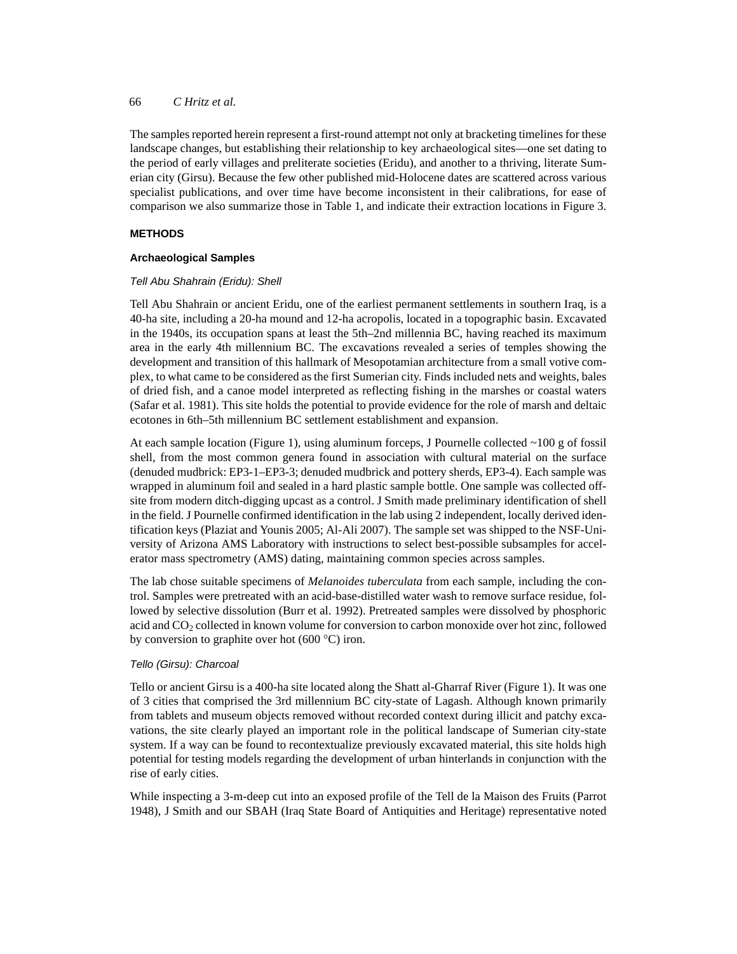The samples reported herein represent a first-round attempt not only at bracketing timelines for these landscape changes, but establishing their relationship to key archaeological sites—one set dating to the period of early villages and preliterate societies (Eridu), and another to a thriving, literate Sumerian city (Girsu). Because the few other published mid-Holocene dates are scattered across various specialist publications, and over time have become inconsistent in their calibrations, for ease of comparison we also summarize those in Table 1, and indicate their extraction locations in Figure 3.

## **METHODS**

#### **Archaeological Samples**

### *Tell Abu Shahrain (Eridu): Shell*

Tell Abu Shahrain or ancient Eridu, one of the earliest permanent settlements in southern Iraq, is a 40-ha site, including a 20-ha mound and 12-ha acropolis, located in a topographic basin. Excavated in the 1940s, its occupation spans at least the 5th–2nd millennia BC, having reached its maximum area in the early 4th millennium BC. The excavations revealed a series of temples showing the development and transition of this hallmark of Mesopotamian architecture from a small votive complex, to what came to be considered as the first Sumerian city. Finds included nets and weights, bales of dried fish, and a canoe model interpreted as reflecting fishing in the marshes or coastal waters (Safar et al. 1981). This site holds the potential to provide evidence for the role of marsh and deltaic ecotones in 6th–5th millennium BC settlement establishment and expansion.

At each sample location (Figure 1), using aluminum forceps, J Pournelle collected ~100 g of fossil shell, from the most common genera found in association with cultural material on the surface (denuded mudbrick: EP3-1–EP3-3; denuded mudbrick and pottery sherds, EP3-4). Each sample was wrapped in aluminum foil and sealed in a hard plastic sample bottle. One sample was collected offsite from modern ditch-digging upcast as a control. J Smith made preliminary identification of shell in the field. J Pournelle confirmed identification in the lab using 2 independent, locally derived identification keys (Plaziat and Younis 2005; Al-Ali 2007). The sample set was shipped to the NSF-University of Arizona AMS Laboratory with instructions to select best-possible subsamples for accelerator mass spectrometry (AMS) dating, maintaining common species across samples.

The lab chose suitable specimens of *Melanoides tuberculata* from each sample, including the control. Samples were pretreated with an acid-base-distilled water wash to remove surface residue, followed by selective dissolution (Burr et al. 1992). Pretreated samples were dissolved by phosphoric acid and CO<sub>2</sub> collected in known volume for conversion to carbon monoxide over hot zinc, followed by conversion to graphite over hot  $(600 °C)$  iron.

#### *Tello (Girsu): Charcoal*

Tello or ancient Girsu is a 400-ha site located along the Shatt al-Gharraf River (Figure 1). It was one of 3 cities that comprised the 3rd millennium BC city-state of Lagash. Although known primarily from tablets and museum objects removed without recorded context during illicit and patchy excavations, the site clearly played an important role in the political landscape of Sumerian city-state system. If a way can be found to recontextualize previously excavated material, this site holds high potential for testing models regarding the development of urban hinterlands in conjunction with the rise of early cities.

While inspecting a 3-m-deep cut into an exposed profile of the Tell de la Maison des Fruits (Parrot 1948), J Smith and our SBAH (Iraq State Board of Antiquities and Heritage) representative noted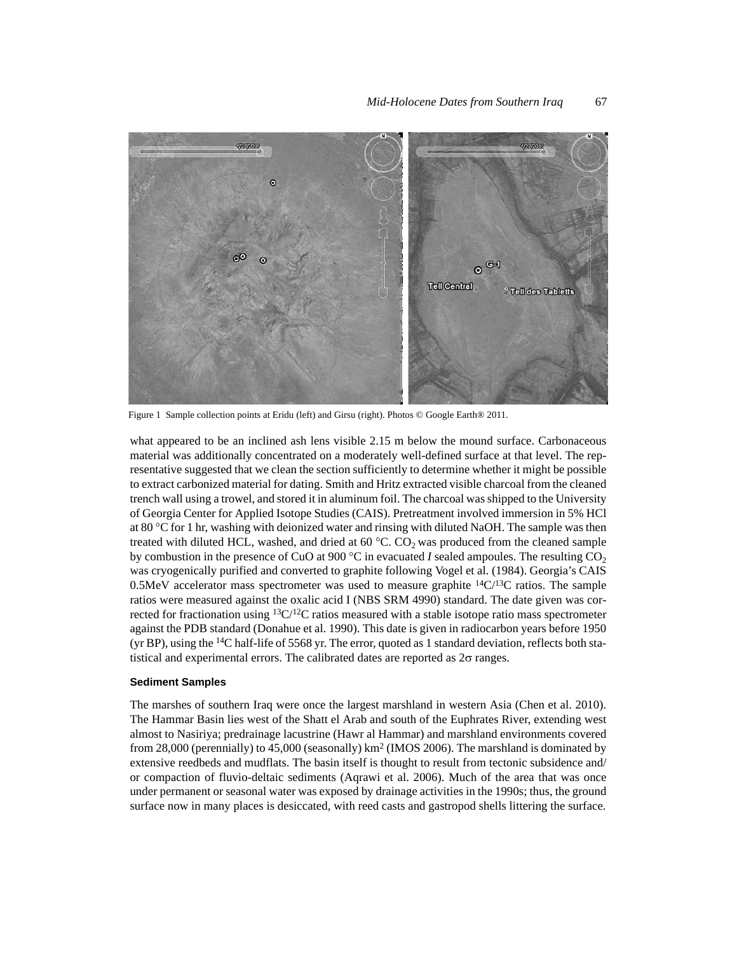

Figure 1 Sample collection points at Eridu (left) and Girsu (right). Photos © Google Earth® 2011.

what appeared to be an inclined ash lens visible 2.15 m below the mound surface. Carbonaceous material was additionally concentrated on a moderately well-defined surface at that level. The representative suggested that we clean the section sufficiently to determine whether it might be possible to extract carbonized material for dating. Smith and Hritz extracted visible charcoal from the cleaned trench wall using a trowel, and stored it in aluminum foil. The charcoal was shipped to the University of Georgia Center for Applied Isotope Studies (CAIS). Pretreatment involved immersion in 5% HCl at 80 °C for 1 hr, washing with deionized water and rinsing with diluted NaOH. The sample was then treated with diluted HCL, washed, and dried at 60  $^{\circ}$ C. CO<sub>2</sub> was produced from the cleaned sample by combustion in the presence of CuO at  $900^{\circ}$ C in evacuated *I* sealed ampoules. The resulting CO<sub>2</sub> was cryogenically purified and converted to graphite following Vogel et al. (1984). Georgia's CAIS 0.5MeV accelerator mass spectrometer was used to measure graphite  ${}^{14}C/{}^{13}C$  ratios. The sample ratios were measured against the oxalic acid I (NBS SRM 4990) standard. The date given was corrected for fractionation using 13C/12C ratios measured with a stable isotope ratio mass spectrometer against the PDB standard (Donahue et al. 1990). This date is given in radiocarbon years before 1950 (yr BP), using the  $14C$  half-life of 5568 yr. The error, quoted as 1 standard deviation, reflects both statistical and experimental errors. The calibrated dates are reported as  $2\sigma$  ranges.

#### **Sediment Samples**

The marshes of southern Iraq were once the largest marshland in western Asia (Chen et al. 2010). The Hammar Basin lies west of the Shatt el Arab and south of the Euphrates River, extending west almost to Nasiriya; predrainage lacustrine (Hawr al Hammar) and marshland environments covered from 28,000 (perennially) to 45,000 (seasonally) km<sup>2</sup> (IMOS 2006). The marshland is dominated by extensive reedbeds and mudflats. The basin itself is thought to result from tectonic subsidence and/ or compaction of fluvio-deltaic sediments (Aqrawi et al. 2006). Much of the area that was once under permanent or seasonal water was exposed by drainage activities in the 1990s; thus, the ground surface now in many places is desiccated, with reed casts and gastropod shells littering the surface.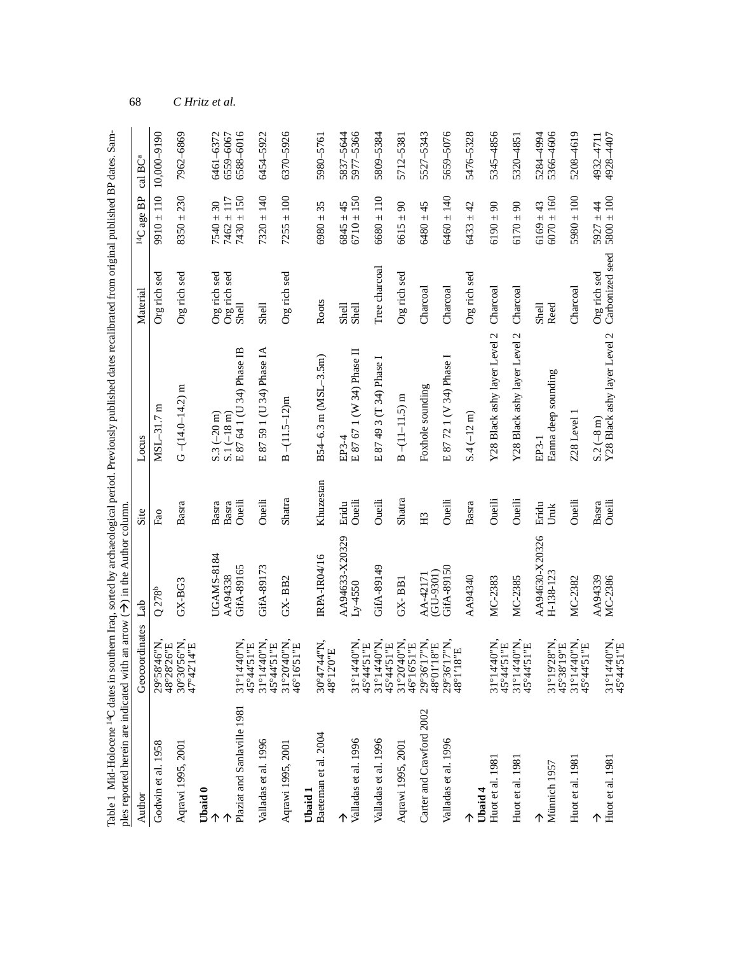| ples reported herein are indicated with an arrow $(\rightarrow)$ in the Author column |                                                               |                        |           | Table 1 Mid-Holocene <sup>14</sup> C dates in southern Iraq, sorted by archaeological period. Previously published dates recalibrated from original published BP dates. Sam- |                 |                          |                     |
|---------------------------------------------------------------------------------------|---------------------------------------------------------------|------------------------|-----------|------------------------------------------------------------------------------------------------------------------------------------------------------------------------------|-----------------|--------------------------|---------------------|
| Author                                                                                | Geocoordinates                                                | Lab                    | Site      | Locus                                                                                                                                                                        | Material        | $^{14}C$ age BP          | cal BC <sup>a</sup> |
| Godwin et al. 1958                                                                    | 29°58'46"N,<br>48°28'26"E                                     | $Q$ 278 <sup>b</sup>   | Fao       | $MSL-31.7m$                                                                                                                                                                  | Org rich sed    | $9910 + 110$ 10.000-9190 |                     |
| Aqrawi 1995, 2001                                                                     | 30°30'56"N,<br>14"E<br>47°42'                                 | $GX-BG3$               | Basra     | $G - (14.0 - 14.2)$ m                                                                                                                                                        | Org rich sed    | $8350 \pm 230$           | 7962-6869           |
| <b>Ubaid 0</b>                                                                        |                                                               |                        |           |                                                                                                                                                                              |                 |                          |                     |
|                                                                                       |                                                               | <b>DGAMS-8184</b>      | Basra     | $S.3(-20 m)$                                                                                                                                                                 | Org rich sed    | $7540 \pm 30$            | 6461-6372           |
|                                                                                       |                                                               | AA94338                | Basra     | $S.1(-18 m)$                                                                                                                                                                 | Org rich sed    | $7462 \pm 117$           | 6559-6067           |
| Plaziat and Sanlaville 1981                                                           | 31°14'40"N.<br>45°44'51"E                                     | GifA-89165             | Oueili    | 34) Phase IB<br>E87641(U                                                                                                                                                     | Shell           | $7430 \pm 150$           | 6588-6016           |
| Valladas et al. 1996                                                                  | 31°14'40"N,<br>45°44'51"E                                     | GifA-89173             | Oueili    | 87 59 1 (U 34) Phase IA<br>Щ                                                                                                                                                 | Shell           | $7320 \pm 140$           | 6454-5922           |
| Aqrawi 1995, 2001                                                                     | 31°20'40"N,<br>46°16'51"E                                     | $GX - BB2$             | Shatra    | $B - (11.5 - 12)m$                                                                                                                                                           | Org rich sed    | $7255 \pm 100$           | 6370-5926           |
| Ubaid 1                                                                               |                                                               |                        |           |                                                                                                                                                                              |                 |                          |                     |
| Baeteman et al. 2004                                                                  | 30°47'44"N,<br>48°12'0"E                                      | IRPA-IR04/16           | Khuzestan | $B54-6.3$ m (MSL $-3.5$ m)                                                                                                                                                   | Roots           | $6980 \pm 35$            | 5980-5761           |
| ↑                                                                                     |                                                               | AA94633-X20329         | Eridu     | EP3-4                                                                                                                                                                        | Shell           | $6845 \pm 45$            | 5837-5644           |
| Valladas et al. 1996                                                                  | 31°14'40"N,<br>45°44'51"E                                     | $Ly-4550$              | Oueili    | E 87 67 1 (W 34) Phase II                                                                                                                                                    | Shell           | $6710 \pm 150$           | 5977-5366           |
| Valladas et al. 1996                                                                  | 31°14'40"N,<br>45°44'51"E                                     | GifA-89149             | Oueili    | E 87 49 3 (T 34) Phase I                                                                                                                                                     | Tree charcoal   | $6680 \pm 110$           | 5809-5384           |
| Aqrawi 1995, 2001                                                                     | 31°20'40"N,<br>46°16'51"E                                     | $GX - BBI$             | Shatra    | $B - (11 - 11.5)$ m                                                                                                                                                          | Org rich sed    | $6615 \pm 90$            | 5712-5381           |
| Carter and Crawford 2002                                                              | 29°36'17"N,<br>48°01'18"E                                     | $(GU-9301)$<br>AA-4217 | H3        | Foxhole sounding                                                                                                                                                             | Charcoal        | $6480 \pm 45$            | 5527-5343           |
| Valladas et al. 1996                                                                  | 29°36'17"N,<br>48°1'18"E                                      | GifA-89150             | Oueili    | E 8772 1 (V 34) Phase I                                                                                                                                                      | Charcoal        | $6460 \pm 140$           | 5659-5076           |
| Ubaid 4                                                                               |                                                               | AA94340                | Basra     | $S.4 (-12 m)$                                                                                                                                                                | Org rich sed    | $6433 \pm 42$            | 5476-5328           |
| Huot et al. 1981                                                                      | 31°14'40"N.<br>45°44'51"E                                     | MC-2383                | Oueili    | $\mathcal{L}$<br>Y28 Black ashy layer Level                                                                                                                                  | Charcoal        | $6190 \pm 90$            | 5345-4856           |
| Huot et al. 1981                                                                      | 31°14'40"N,<br>45°44'51"E                                     | MC-2385                | Oueili    | 2<br>Y28 Black ashy layer Level                                                                                                                                              | Charcoal        | $6170 \pm 90$            | 5320-4851           |
|                                                                                       |                                                               | AA94630-X20326         | Eridu     | EP3-1                                                                                                                                                                        | Shell           | $6169 \pm 43$            | 5284 4994           |
| Münnich 1957                                                                          | 31°19'28"N,<br>45°38'19"E                                     | H-138-123              | Uruk      | Eanna deep sounding                                                                                                                                                          | Reed            | $6070 \pm 160$           | 5366-4606           |
| Huot et al. 1981                                                                      | $\frac{31^{\circ}14'40''\text{N}}{45^{\circ}44'51''\text{E}}$ | MC-2382                | Oueili    | Z28 Level                                                                                                                                                                    | Charcoal        | $5980 \pm 100$           | 5208-4619           |
|                                                                                       |                                                               | AA94339                | Basra     | $S.2(-8 m)$                                                                                                                                                                  | Org rich sed    | $5927 \pm 44$            | 4932-4711           |
| Huot et al. 1981                                                                      | $31°14'40''$ N,<br>45°44'51″E                                 | MC-2386                | Oueili    | Y28 Black ashy layer Level 2                                                                                                                                                 | Carbonized seed | $5800 \pm 100$           | 4928-4407           |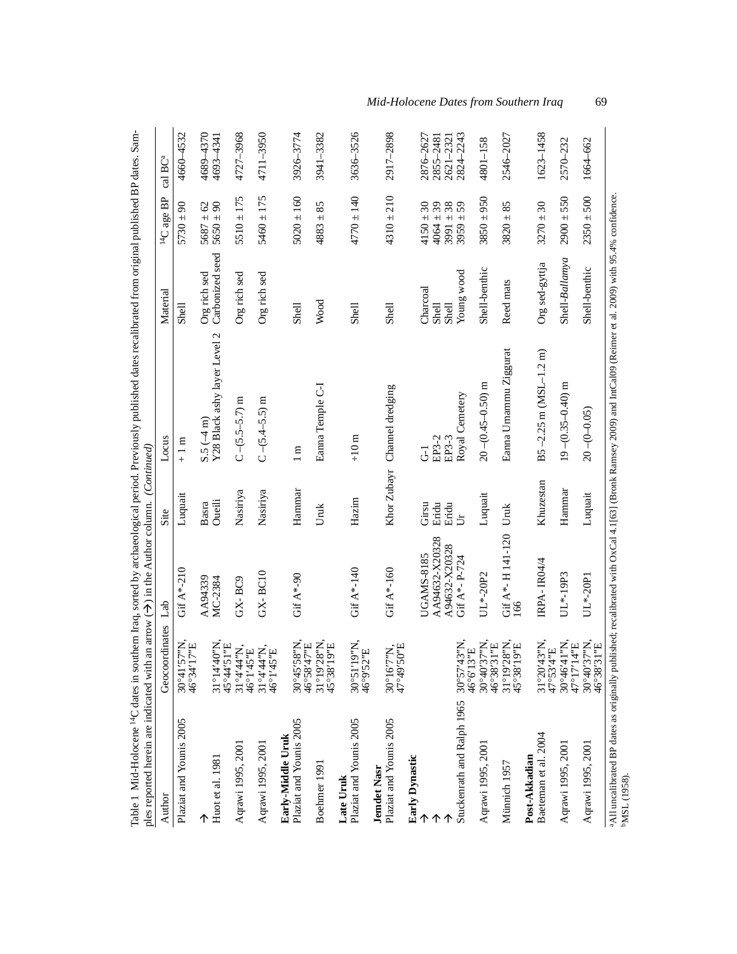| ples reported herein are indicated with an arrow $(\rightarrow)$ in the Author column. (Continued) |                                                             |                                                      |                         | Table 1 Mid-Holocene <sup>14</sup> C dates in southern Iraq, sorted by archaeological period. Previously published dates recalibrated from original published BP dates. Sam- |                                 |                                                 |                                     |
|----------------------------------------------------------------------------------------------------|-------------------------------------------------------------|------------------------------------------------------|-------------------------|------------------------------------------------------------------------------------------------------------------------------------------------------------------------------|---------------------------------|-------------------------------------------------|-------------------------------------|
| Author                                                                                             | Geocoordinates                                              | Lab                                                  | Site                    | Locus                                                                                                                                                                        | Material                        | <sup>14</sup> C age BP                          | cal BC <sup>a</sup>                 |
| Plaziat and Younis 2005                                                                            | $30°41'57"$ N,<br>$46°34'17"E$                              | Gif A*-210                                           | Luquait                 | $+1m$                                                                                                                                                                        | Shell                           | $5730 \pm 90$                                   | 4660-4532                           |
| Huot et al. 1981<br>↑                                                                              | $31°14'40"$ N,<br>$45°44'51"E$                              | AA94339<br>MC-2384                                   | Oueili<br>Basra         | Y28 Black ashy layer Level 2<br>$S.5(-4 m)$                                                                                                                                  | Carbonized seed<br>Org rich sed | $5650 \pm 90$<br>$5687 \pm 62$                  | 4689-4370<br>4693-4341              |
| Aqrawi 1995, 2001                                                                                  | 31°4'44"N,<br>46°1'45"E                                     | $GX-BC9$                                             | Nasiriya                | $C - (5.5 - 5.7)$ m                                                                                                                                                          | Org rich sed                    | $5510 \pm 175$                                  | 4727-3968                           |
| Aqrawi 1995, 2001                                                                                  | $\frac{31^{\circ}4'44''\text{N}}{46^{\circ}1'45''\text{E}}$ | $GX-BC10$                                            | Nasiriya                | $C - (5.4 - 5.5)$ m                                                                                                                                                          | Org rich sed                    | $5460 \pm 175$                                  | 4711-3950                           |
| Plaziat and Younis 2005<br>Early-Middle Uruk                                                       | 30°45'58"N,<br>46°58'47"E                                   | Gif A*-90                                            | Hammar                  | $\overline{1}$                                                                                                                                                               | Shell                           | $5020 \pm 160$                                  | 3926-3774                           |
| Boehmer 1991                                                                                       | $31^{\circ}19'28''$ N,<br>$45^{\circ}38'19''$ E             |                                                      | Uruk                    | Eanna Temple C-I                                                                                                                                                             | Wood                            | $4883 \pm 85$                                   | 3941-3382                           |
| Plaziat and Younis 2005<br>Late Uruk                                                               | 30°51'19"N.                                                 | Gif A*-140                                           | Hazim                   | $+10m$                                                                                                                                                                       | Shell                           | $4770 \pm 140$                                  | 3636-3526                           |
| Plaziat and Younis 2005<br><b>Jemdet Nasr</b>                                                      | 30°16'7"N,<br>47°49'50"E<br>46°9'52"E                       | $GHz$ A*-160                                         |                         | Khor Zubayr Channel dredging                                                                                                                                                 | Shell                           | $4310 \pm 210$                                  | 2917-2898                           |
| <b>Early Dynastic</b>                                                                              |                                                             |                                                      |                         |                                                                                                                                                                              |                                 |                                                 |                                     |
|                                                                                                    |                                                             | AA94632-X20328<br>A94632-X20328<br><b>UGAMS-8185</b> | Girsu<br>Eridu<br>Eridu | EP3-2<br>EP3-3<br>$\vec{c}$                                                                                                                                                  | Charcod<br>Shell<br>Shell       | $4150 \pm 30$<br>$4064 \pm 39$<br>$3991 \pm 38$ | 2876–2627<br>2621-2321<br>2855-2481 |
| Stuckenrath and Ralph 1965                                                                         | 30°57'43"N,<br>46°6'13"E                                    | Gif A*- P-724                                        | $\overline{5}$          | Royal Cemetery                                                                                                                                                               | Young wood                      | 59<br>$+$<br>3959                               | 2824-2243                           |
| Aqrawi 1995, 2001                                                                                  | 30°40'37"N,<br>46°38'31"E                                   | UL*-20P2                                             | Luquait                 | $20 - (0.45 - 0.50)$ m                                                                                                                                                       | Shell-benthic                   | $3850 \pm 950$                                  | 4801-158                            |
| Münnich 1957                                                                                       | $31^{\circ}19'28''$ N,<br>$45^{\circ}38'19''$ E<br>45°38'1  | Gif A*- H 141-120 Uruk<br>166                        |                         | Eanna Urnammu Ziggurat                                                                                                                                                       | Reed mats                       | $3820 \pm 85$                                   | 2546-2027                           |
| Post-Akkadian                                                                                      |                                                             |                                                      |                         |                                                                                                                                                                              |                                 |                                                 |                                     |
| Baeteman et al. 2004                                                                               | 31°20'43"N,<br>47°53'4"E                                    | IRPA-IR04/4                                          | Khuzestan               | B5 $-2.25$ m (MSL $-1.2$ m)                                                                                                                                                  | Org sed-gyttja                  | $3270 \pm 30$                                   | 1623-1458                           |
| Aqrawi 1995, 2001                                                                                  | 30°46'41"N,<br>47°17'14"E                                   | UL*-19P3                                             | Hammar                  | $19 - (0.35 - 0.40)$ m                                                                                                                                                       | Shell-Ballamya                  | $2900 \pm 550$                                  | 2570–232                            |
| Aqrawi 1995, 2001                                                                                  | 30°40'37"N,<br>46°38'31"E                                   | UL*-20P1                                             | Luquait                 | $20 - (0 - 0.05)$                                                                                                                                                            | Shell-benthic                   | $2350 \pm 500$                                  | 1664-662                            |
| bMSL (1958)                                                                                        |                                                             |                                                      |                         | a All uncalibrated BP dates as originally published; recalibrated with OxCal 4.1[63] (Bronk Ramsey 2009) and IntCal09 (Reimer et al. 2009) with 95.4% confidence.            |                                 |                                                 |                                     |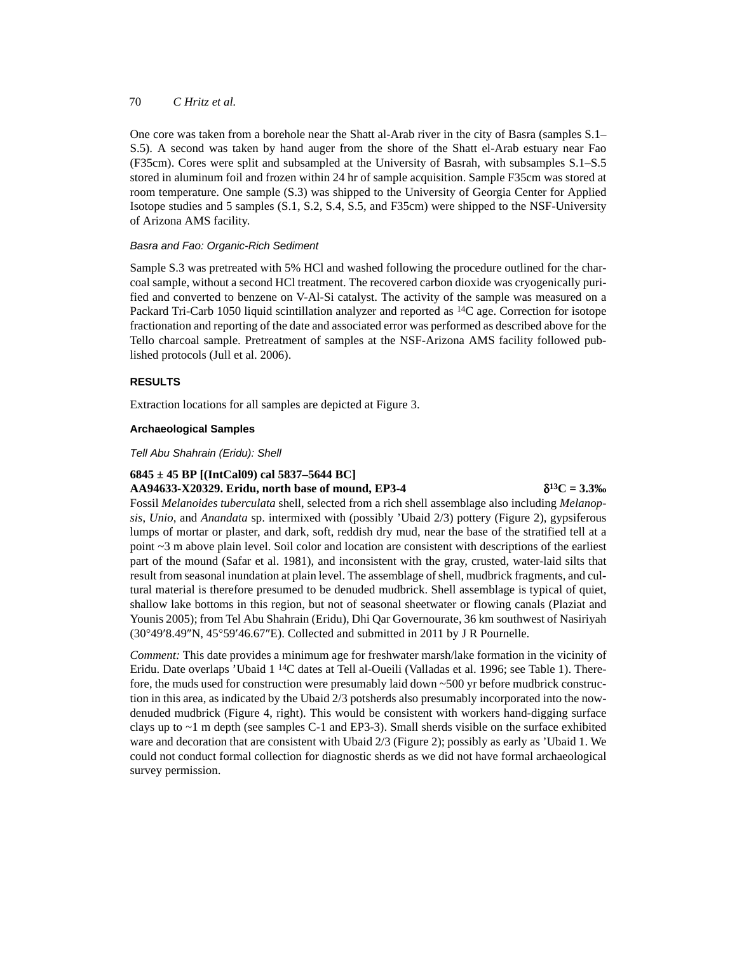One core was taken from a borehole near the Shatt al-Arab river in the city of Basra (samples S.1– S.5). A second was taken by hand auger from the shore of the Shatt el-Arab estuary near Fao (F35cm). Cores were split and subsampled at the University of Basrah, with subsamples S.1–S.5 stored in aluminum foil and frozen within 24 hr of sample acquisition. Sample F35cm was stored at room temperature. One sample (S.3) was shipped to the University of Georgia Center for Applied Isotope studies and 5 samples (S.1, S.2, S.4, S.5, and F35cm) were shipped to the NSF-University of Arizona AMS facility.

### *Basra and Fao: Organic-Rich Sediment*

Sample S.3 was pretreated with 5% HCl and washed following the procedure outlined for the charcoal sample, without a second HCl treatment. The recovered carbon dioxide was cryogenically purified and converted to benzene on V-Al-Si catalyst. The activity of the sample was measured on a Packard Tri-Carb 1050 liquid scintillation analyzer and reported as <sup>14</sup>C age. Correction for isotope fractionation and reporting of the date and associated error was performed as described above for the Tello charcoal sample. Pretreatment of samples at the NSF-Arizona AMS facility followed published protocols (Jull et al. 2006).

## **RESULTS**

Extraction locations for all samples are depicted at Figure 3.

### **Archaeological Samples**

*Tell Abu Shahrain (Eridu): Shell*

# **6845 ± 45 BP [(IntCal09) cal 5837–5644 BC] AA94633-X20329.** Eridu, north base of mound, EP3-4  $\delta^{13}C = 3.3\%$

Fossil *Melanoides tuberculata* shell, selected from a rich shell assemblage also including *Melanopsis*, *Unio*, and *Anandata* sp. intermixed with (possibly 'Ubaid 2/3) pottery (Figure 2), gypsiferous lumps of mortar or plaster, and dark, soft, reddish dry mud, near the base of the stratified tell at a point ~3 m above plain level. Soil color and location are consistent with descriptions of the earliest part of the mound (Safar et al. 1981), and inconsistent with the gray, crusted, water-laid silts that result from seasonal inundation at plain level. The assemblage of shell, mudbrick fragments, and cultural material is therefore presumed to be denuded mudbrick. Shell assemblage is typical of quiet, shallow lake bottoms in this region, but not of seasonal sheetwater or flowing canals (Plaziat and Younis 2005); from Tel Abu Shahrain (Eridu), Dhi Qar Governourate, 36 km southwest of Nasiriyah  $(30°49'8.49''N, 45°59'46.67''E)$ . Collected and submitted in 2011 by J R Pournelle.

*Comment:* This date provides a minimum age for freshwater marsh/lake formation in the vicinity of Eridu. Date overlaps 'Ubaid 1<sup>14</sup>C dates at Tell al-Oueili (Valladas et al. 1996; see Table 1). Therefore, the muds used for construction were presumably laid down ~500 yr before mudbrick construction in this area, as indicated by the Ubaid 2/3 potsherds also presumably incorporated into the nowdenuded mudbrick (Figure 4, right). This would be consistent with workers hand-digging surface clays up to  $\sim$ 1 m depth (see samples C-1 and EP3-3). Small sherds visible on the surface exhibited ware and decoration that are consistent with Ubaid 2/3 (Figure 2); possibly as early as 'Ubaid 1. We could not conduct formal collection for diagnostic sherds as we did not have formal archaeological survey permission.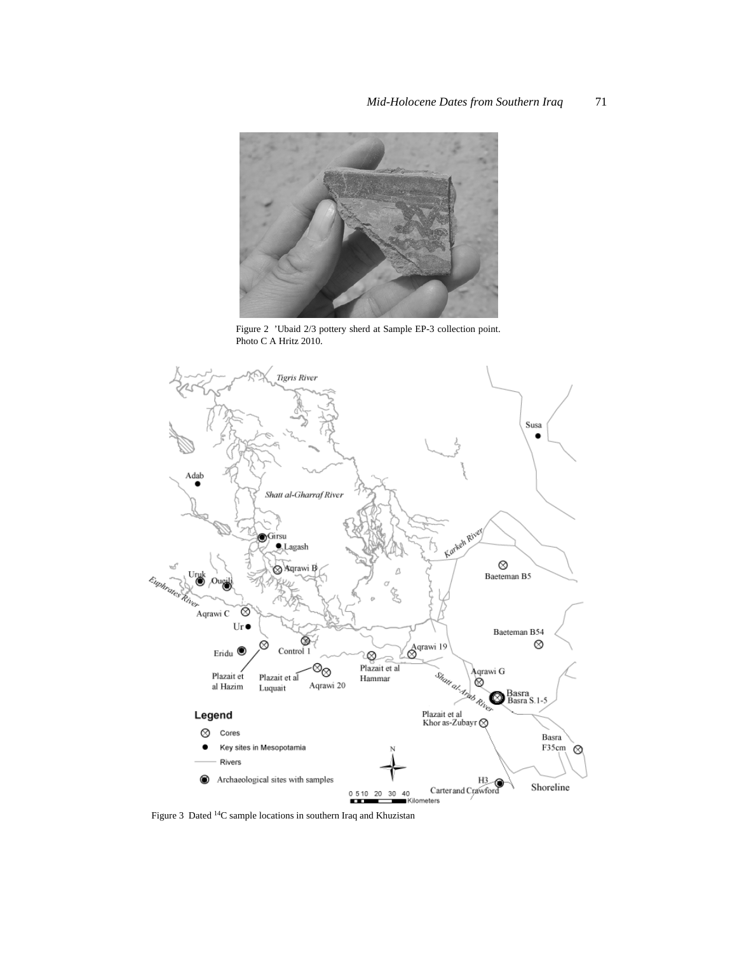

Figure 2 'Ubaid 2/3 pottery sherd at Sample EP-3 collection point. Photo C A Hritz 2010.



Figure 3 Dated 14C sample locations in southern Iraq and Khuzistan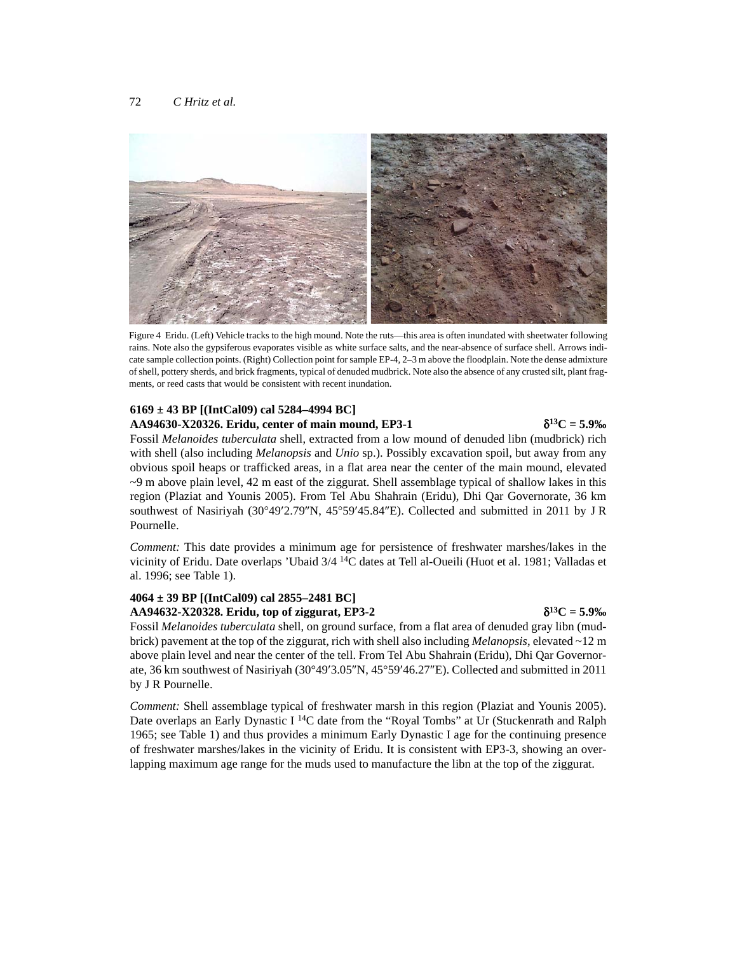

Figure 4 Eridu. (Left) Vehicle tracks to the high mound. Note the ruts—this area is often inundated with sheetwater following rains. Note also the gypsiferous evaporates visible as white surface salts, and the near-absence of surface shell. Arrows indicate sample collection points. (Right) Collection point for sample EP-4, 2–3 m above the floodplain. Note the dense admixture of shell, pottery sherds, and brick fragments, typical of denuded mudbrick. Note also the absence of any crusted silt, plant fragments, or reed casts that would be consistent with recent inundation.

# **6169 ± 43 BP [(IntCal09) cal 5284–4994 BC]**

**AA94630-X20326. Eridu, center of main mound, EP3-1**  $\delta^{13}C = 5.9\%$ 

Fossil *Melanoides tuberculata* shell, extracted from a low mound of denuded libn (mudbrick) rich with shell (also including *Melanopsis* and *Unio* sp.). Possibly excavation spoil, but away from any obvious spoil heaps or trafficked areas, in a flat area near the center of the main mound, elevated  $\sim$ 9 m above plain level, 42 m east of the ziggurat. Shell assemblage typical of shallow lakes in this region (Plaziat and Younis 2005). From Tel Abu Shahrain (Eridu), Dhi Qar Governorate, 36 km southwest of Nasiriyah (30°49′2.79″N, 45°59′45.84″E). Collected and submitted in 2011 by JR Pournelle.

*Comment:* This date provides a minimum age for persistence of freshwater marshes/lakes in the vicinity of Eridu. Date overlaps 'Ubaid 3/4 14C dates at Tell al-Oueili (Huot et al. 1981; Valladas et al. 1996; see Table 1).

# **4064 ± 39 BP [(IntCal09) cal 2855–2481 BC] AA94632-X20328. Eridu, top of ziggurat, EP3-2** d**13C = 5.9‰**

Fossil *Melanoides tuberculata* shell, on ground surface, from a flat area of denuded gray libn (mudbrick) pavement at the top of the ziggurat, rich with shell also including *Melanopsis*, elevated ~12 m above plain level and near the center of the tell. From Tel Abu Shahrain (Eridu), Dhi Qar Governorate, 36 km southwest of Nasiriyah (30°49'3.05"N, 45°59'46.27"E). Collected and submitted in 2011 by J R Pournelle.

*Comment:* Shell assemblage typical of freshwater marsh in this region (Plaziat and Younis 2005). Date overlaps an Early Dynastic I<sup>14</sup>C date from the "Royal Tombs" at Ur (Stuckenrath and Ralph 1965; see Table 1) and thus provides a minimum Early Dynastic I age for the continuing presence of freshwater marshes/lakes in the vicinity of Eridu. It is consistent with EP3-3, showing an overlapping maximum age range for the muds used to manufacture the libn at the top of the ziggurat.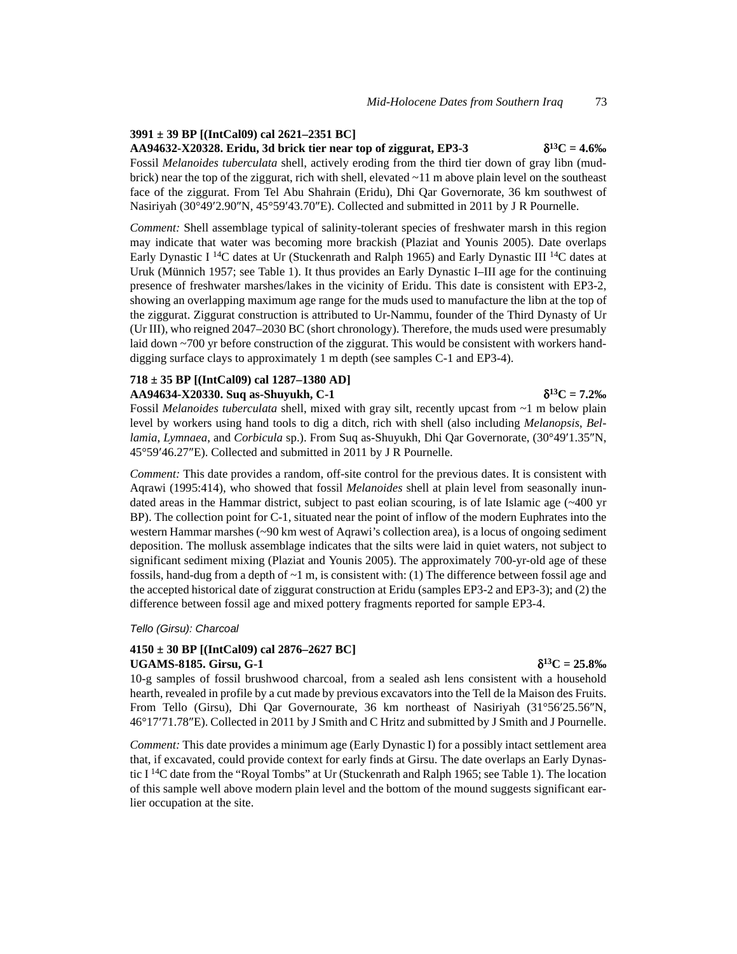### **3991 ± 39 BP [(IntCal09) cal 2621–2351 BC]**

# **AA94632-X20328.** Eridu, 3d brick tier near top of ziggurat, EP3-3  $\delta^{13}C = 4.6\%$

Fossil *Melanoides tuberculata* shell, actively eroding from the third tier down of gray libn (mudbrick) near the top of the ziggurat, rich with shell, elevated ~11 m above plain level on the southeast face of the ziggurat. From Tel Abu Shahrain (Eridu), Dhi Qar Governorate, 36 km southwest of Nasiriyah (30°49'2.90"N, 45°59'43.70"E). Collected and submitted in 2011 by J R Pournelle.

*Comment:* Shell assemblage typical of salinity-tolerant species of freshwater marsh in this region may indicate that water was becoming more brackish (Plaziat and Younis 2005). Date overlaps Early Dynastic I 14C dates at Ur (Stuckenrath and Ralph 1965) and Early Dynastic III 14C dates at Uruk (Münnich 1957; see Table 1). It thus provides an Early Dynastic I–III age for the continuing presence of freshwater marshes/lakes in the vicinity of Eridu. This date is consistent with EP3-2, showing an overlapping maximum age range for the muds used to manufacture the libn at the top of the ziggurat. Ziggurat construction is attributed to Ur-Nammu, founder of the Third Dynasty of Ur (Ur III), who reigned 2047–2030 BC (short chronology). Therefore, the muds used were presumably laid down ~700 yr before construction of the ziggurat. This would be consistent with workers handdigging surface clays to approximately 1 m depth (see samples C-1 and EP3-4).

# **718 ± 35 BP [(IntCal09) cal 1287–1380 AD]**

#### **AA94634-X20330. Suq as-Shuyukh, C-1** d**13C = 7.2‰**

Fossil *Melanoides tuberculata* shell, mixed with gray silt, recently upcast from ~1 m below plain level by workers using hand tools to dig a ditch, rich with shell (also including *Melanopsis*, *Bellamia*, *Lymnaea*, and *Corbicula* sp.). From Suq as-Shuyukh, Dhi Qar Governorate, (30°49'1.35"N, 45°5946.27E). Collected and submitted in 2011 by J R Pournelle.

*Comment:* This date provides a random, off-site control for the previous dates. It is consistent with Aqrawi (1995:414), who showed that fossil *Melanoides* shell at plain level from seasonally inundated areas in the Hammar district, subject to past eolian scouring, is of late Islamic age (~400 yr BP). The collection point for C-1, situated near the point of inflow of the modern Euphrates into the western Hammar marshes (~90 km west of Aqrawi's collection area), is a locus of ongoing sediment deposition. The mollusk assemblage indicates that the silts were laid in quiet waters, not subject to significant sediment mixing (Plaziat and Younis 2005). The approximately 700-yr-old age of these fossils, hand-dug from a depth of  $\sim$ 1 m, is consistent with: (1) The difference between fossil age and the accepted historical date of ziggurat construction at Eridu (samples EP3-2 and EP3-3); and (2) the difference between fossil age and mixed pottery fragments reported for sample EP3-4.

#### *Tello (Girsu): Charcoal*

# **4150 ± 30 BP [(IntCal09) cal 2876–2627 BC] UGAMS-8185. Girsu, G-1** d<sup>13</sup>C = 25.8‰

10-g samples of fossil brushwood charcoal, from a sealed ash lens consistent with a household hearth, revealed in profile by a cut made by previous excavators into the Tell de la Maison des Fruits. From Tello (Girsu), Dhi Qar Governourate, 36 km northeast of Nasiriyah (31°56'25.56"N, 46°1771.78E). Collected in 2011 by J Smith and C Hritz and submitted by J Smith and J Pournelle.

*Comment:* This date provides a minimum age (Early Dynastic I) for a possibly intact settlement area that, if excavated, could provide context for early finds at Girsu. The date overlaps an Early Dynastic I 14C date from the "Royal Tombs" at Ur (Stuckenrath and Ralph 1965; see Table 1). The location of this sample well above modern plain level and the bottom of the mound suggests significant earlier occupation at the site.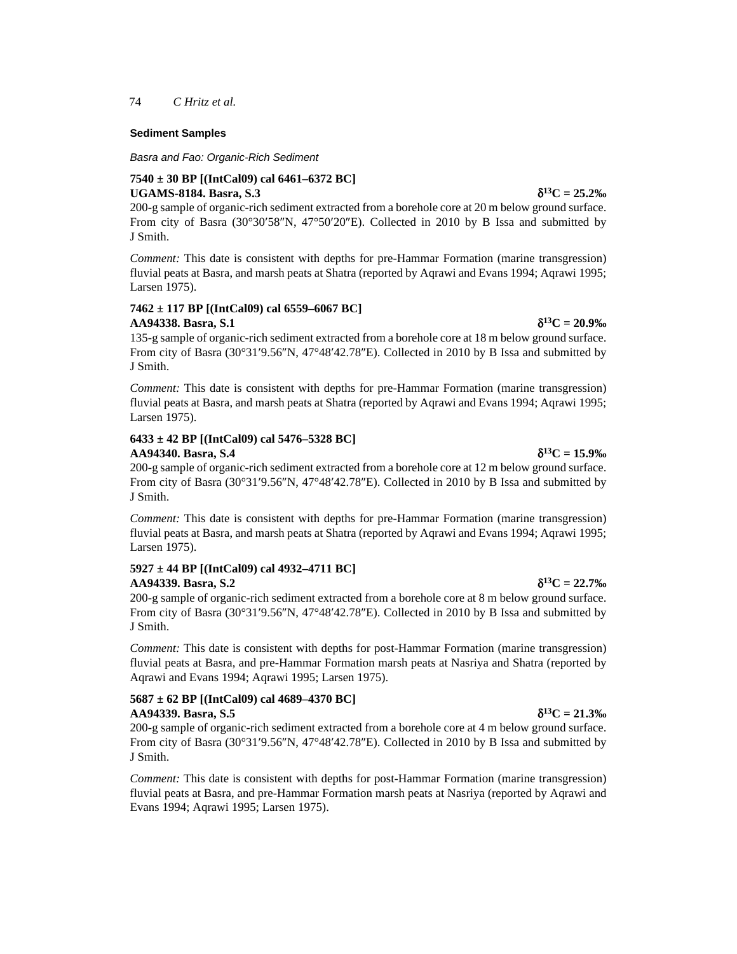### **Sediment Samples**

*Basra and Fao: Organic-Rich Sediment*

# **7540 ± 30 BP [(IntCal09) cal 6461–6372 BC]**  $UGAMS-8184. Basra, S.3$   $\delta^{13}C = 25.2\%$

# 200-g sample of organic-rich sediment extracted from a borehole core at 20 m below ground surface. From city of Basra  $(30^{\circ}30^{\circ}58^{\prime\prime}N, 47^{\circ}50^{\prime}20^{\prime\prime}E)$ . Collected in 2010 by B Issa and submitted by J Smith.

*Comment:* This date is consistent with depths for pre-Hammar Formation (marine transgression) fluvial peats at Basra, and marsh peats at Shatra (reported by Aqrawi and Evans 1994; Aqrawi 1995; Larsen 1975).

## **7462 ± 117 BP [(IntCal09) cal 6559–6067 BC] AA94338. Basra, S.1 different in the contract of the contract of**  $\delta^{13}C = 20.9\%$

135-g sample of organic-rich sediment extracted from a borehole core at 18 m below ground surface. From city of Basra (30°31'9.56"N, 47°48'42.78"E). Collected in 2010 by B Issa and submitted by J Smith.

*Comment:* This date is consistent with depths for pre-Hammar Formation (marine transgression) fluvial peats at Basra, and marsh peats at Shatra (reported by Aqrawi and Evans 1994; Aqrawi 1995; Larsen 1975).

# **6433 ± 42 BP [(IntCal09) cal 5476–5328 BC]**

## **AA94340. Basra, S.4**  $\delta^{13}C = 15.9\%$

200-g sample of organic-rich sediment extracted from a borehole core at 12 m below ground surface. From city of Basra (30°31'9.56"N, 47°48'42.78"E). Collected in 2010 by B Issa and submitted by J Smith.

*Comment:* This date is consistent with depths for pre-Hammar Formation (marine transgression) fluvial peats at Basra, and marsh peats at Shatra (reported by Aqrawi and Evans 1994; Aqrawi 1995; Larsen 1975).

# **5927 ± 44 BP [(IntCal09) cal 4932–4711 BC] AA94339. Basra, S.2**  $\delta^{13}C = 22.7\%$

200-g sample of organic-rich sediment extracted from a borehole core at 8 m below ground surface. From city of Basra (30°31'9.56"N, 47°48'42.78"E). Collected in 2010 by B Issa and submitted by J Smith.

*Comment:* This date is consistent with depths for post-Hammar Formation (marine transgression) fluvial peats at Basra, and pre-Hammar Formation marsh peats at Nasriya and Shatra (reported by Aqrawi and Evans 1994; Aqrawi 1995; Larsen 1975).

## **5687 ± 62 BP [(IntCal09) cal 4689–4370 BC] AA94339. Basra, S.5** do 13C = 21.3‰

200-g sample of organic-rich sediment extracted from a borehole core at 4 m below ground surface. From city of Basra (30°31'9.56"N, 47°48'42.78"E). Collected in 2010 by B Issa and submitted by J Smith.

*Comment:* This date is consistent with depths for post-Hammar Formation (marine transgression) fluvial peats at Basra, and pre-Hammar Formation marsh peats at Nasriya (reported by Aqrawi and Evans 1994; Aqrawi 1995; Larsen 1975).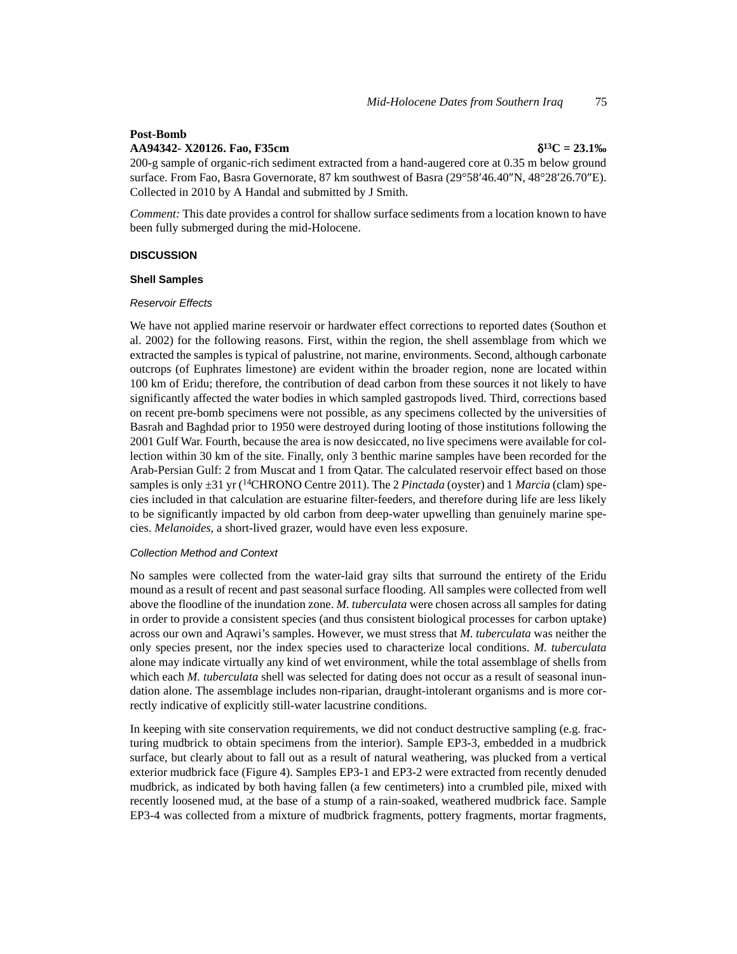# **Post-Bomb**

# **AA94342- X20126. Fao, F35cm** d<sub>13</sub>C = 23.1‰

200-g sample of organic-rich sediment extracted from a hand-augered core at 0.35 m below ground surface. From Fao, Basra Governorate, 87 km southwest of Basra (29°58'46.40"N, 48°28'26.70"E). Collected in 2010 by A Handal and submitted by J Smith.

*Comment:* This date provides a control for shallow surface sediments from a location known to have been fully submerged during the mid-Holocene.

#### **DISCUSSION**

#### **Shell Samples**

#### *Reservoir Effects*

We have not applied marine reservoir or hardwater effect corrections to reported dates (Southon et al. 2002) for the following reasons. First, within the region, the shell assemblage from which we extracted the samples is typical of palustrine, not marine, environments. Second, although carbonate outcrops (of Euphrates limestone) are evident within the broader region, none are located within 100 km of Eridu; therefore, the contribution of dead carbon from these sources it not likely to have significantly affected the water bodies in which sampled gastropods lived. Third, corrections based on recent pre-bomb specimens were not possible, as any specimens collected by the universities of Basrah and Baghdad prior to 1950 were destroyed during looting of those institutions following the 2001 Gulf War. Fourth, because the area is now desiccated, no live specimens were available for collection within 30 km of the site. Finally, only 3 benthic marine samples have been recorded for the Arab-Persian Gulf: 2 from Muscat and 1 from Qatar. The calculated reservoir effect based on those samples is only ±31 yr (14CHRONO Centre 2011). The 2 *Pinctada* (oyster) and 1 *Marcia* (clam) species included in that calculation are estuarine filter-feeders, and therefore during life are less likely to be significantly impacted by old carbon from deep-water upwelling than genuinely marine species. *Melanoides*, a short-lived grazer, would have even less exposure.

#### *Collection Method and Context*

No samples were collected from the water-laid gray silts that surround the entirety of the Eridu mound as a result of recent and past seasonal surface flooding. All samples were collected from well above the floodline of the inundation zone. *M. tuberculata* were chosen across all samples for dating in order to provide a consistent species (and thus consistent biological processes for carbon uptake) across our own and Aqrawi's samples. However, we must stress that *M. tuberculata* was neither the only species present, nor the index species used to characterize local conditions. *M. tuberculata* alone may indicate virtually any kind of wet environment, while the total assemblage of shells from which each *M. tuberculata* shell was selected for dating does not occur as a result of seasonal inundation alone. The assemblage includes non-riparian, draught-intolerant organisms and is more correctly indicative of explicitly still-water lacustrine conditions.

In keeping with site conservation requirements, we did not conduct destructive sampling (e.g. fracturing mudbrick to obtain specimens from the interior). Sample EP3-3, embedded in a mudbrick surface, but clearly about to fall out as a result of natural weathering, was plucked from a vertical exterior mudbrick face (Figure 4). Samples EP3-1 and EP3-2 were extracted from recently denuded mudbrick, as indicated by both having fallen (a few centimeters) into a crumbled pile, mixed with recently loosened mud, at the base of a stump of a rain-soaked, weathered mudbrick face. Sample EP3-4 was collected from a mixture of mudbrick fragments, pottery fragments, mortar fragments,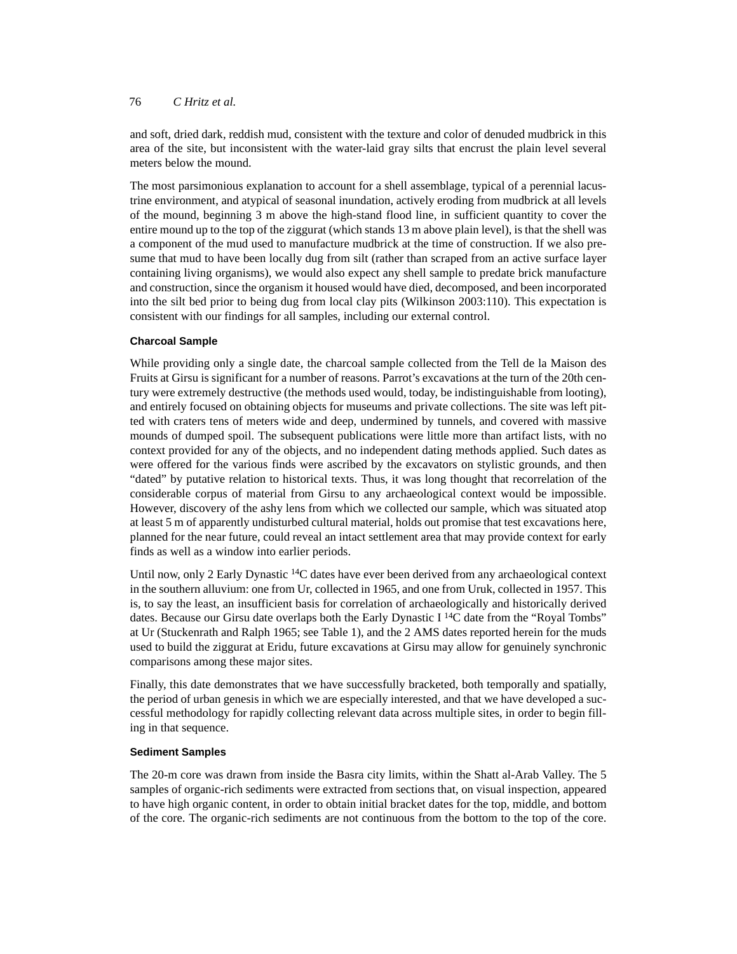and soft, dried dark, reddish mud, consistent with the texture and color of denuded mudbrick in this area of the site, but inconsistent with the water-laid gray silts that encrust the plain level several meters below the mound.

The most parsimonious explanation to account for a shell assemblage, typical of a perennial lacustrine environment, and atypical of seasonal inundation, actively eroding from mudbrick at all levels of the mound, beginning 3 m above the high-stand flood line, in sufficient quantity to cover the entire mound up to the top of the ziggurat (which stands 13 m above plain level), is that the shell was a component of the mud used to manufacture mudbrick at the time of construction. If we also presume that mud to have been locally dug from silt (rather than scraped from an active surface layer containing living organisms), we would also expect any shell sample to predate brick manufacture and construction, since the organism it housed would have died, decomposed, and been incorporated into the silt bed prior to being dug from local clay pits (Wilkinson 2003:110). This expectation is consistent with our findings for all samples, including our external control.

### **Charcoal Sample**

While providing only a single date, the charcoal sample collected from the Tell de la Maison des Fruits at Girsu is significant for a number of reasons. Parrot's excavations at the turn of the 20th century were extremely destructive (the methods used would, today, be indistinguishable from looting), and entirely focused on obtaining objects for museums and private collections. The site was left pitted with craters tens of meters wide and deep, undermined by tunnels, and covered with massive mounds of dumped spoil. The subsequent publications were little more than artifact lists, with no context provided for any of the objects, and no independent dating methods applied. Such dates as were offered for the various finds were ascribed by the excavators on stylistic grounds, and then "dated" by putative relation to historical texts. Thus, it was long thought that recorrelation of the considerable corpus of material from Girsu to any archaeological context would be impossible. However, discovery of the ashy lens from which we collected our sample, which was situated atop at least 5 m of apparently undisturbed cultural material, holds out promise that test excavations here, planned for the near future, could reveal an intact settlement area that may provide context for early finds as well as a window into earlier periods.

Until now, only 2 Early Dynastic 14C dates have ever been derived from any archaeological context in the southern alluvium: one from Ur, collected in 1965, and one from Uruk, collected in 1957. This is, to say the least, an insufficient basis for correlation of archaeologically and historically derived dates. Because our Girsu date overlaps both the Early Dynastic I  $14C$  date from the "Royal Tombs" at Ur (Stuckenrath and Ralph 1965; see Table 1), and the 2 AMS dates reported herein for the muds used to build the ziggurat at Eridu, future excavations at Girsu may allow for genuinely synchronic comparisons among these major sites.

Finally, this date demonstrates that we have successfully bracketed, both temporally and spatially, the period of urban genesis in which we are especially interested, and that we have developed a successful methodology for rapidly collecting relevant data across multiple sites, in order to begin filling in that sequence.

### **Sediment Samples**

The 20-m core was drawn from inside the Basra city limits, within the Shatt al-Arab Valley. The 5 samples of organic-rich sediments were extracted from sections that, on visual inspection, appeared to have high organic content, in order to obtain initial bracket dates for the top, middle, and bottom of the core. The organic-rich sediments are not continuous from the bottom to the top of the core.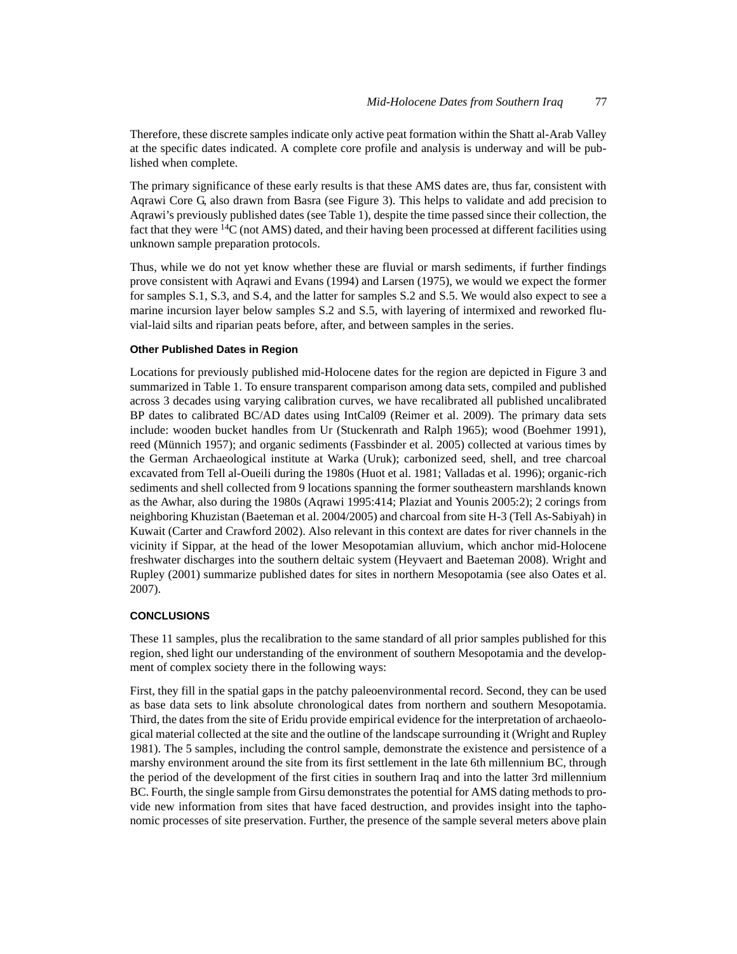Therefore, these discrete samples indicate only active peat formation within the Shatt al-Arab Valley at the specific dates indicated. A complete core profile and analysis is underway and will be published when complete.

The primary significance of these early results is that these AMS dates are, thus far, consistent with Aqrawi Core G, also drawn from Basra (see Figure 3). This helps to validate and add precision to Aqrawi's previously published dates (see Table 1), despite the time passed since their collection, the fact that they were  ${}^{14}C$  (not AMS) dated, and their having been processed at different facilities using unknown sample preparation protocols.

Thus, while we do not yet know whether these are fluvial or marsh sediments, if further findings prove consistent with Aqrawi and Evans (1994) and Larsen (1975), we would we expect the former for samples S.1, S.3, and S.4, and the latter for samples S.2 and S.5. We would also expect to see a marine incursion layer below samples S.2 and S.5, with layering of intermixed and reworked fluvial-laid silts and riparian peats before, after, and between samples in the series.

#### **Other Published Dates in Region**

Locations for previously published mid-Holocene dates for the region are depicted in Figure 3 and summarized in Table 1. To ensure transparent comparison among data sets, compiled and published across 3 decades using varying calibration curves, we have recalibrated all published uncalibrated BP dates to calibrated BC/AD dates using IntCal09 (Reimer et al. 2009). The primary data sets include: wooden bucket handles from Ur (Stuckenrath and Ralph 1965); wood (Boehmer 1991), reed (Münnich 1957); and organic sediments (Fassbinder et al. 2005) collected at various times by the German Archaeological institute at Warka (Uruk); carbonized seed, shell, and tree charcoal excavated from Tell al-Oueili during the 1980s (Huot et al. 1981; Valladas et al. 1996); organic-rich sediments and shell collected from 9 locations spanning the former southeastern marshlands known as the Awhar, also during the 1980s (Aqrawi 1995:414; Plaziat and Younis 2005:2); 2 corings from neighboring Khuzistan (Baeteman et al. 2004/2005) and charcoal from site H-3 (Tell As-Sabiyah) in Kuwait (Carter and Crawford 2002). Also relevant in this context are dates for river channels in the vicinity if Sippar, at the head of the lower Mesopotamian alluvium, which anchor mid-Holocene freshwater discharges into the southern deltaic system (Heyvaert and Baeteman 2008). Wright and Rupley (2001) summarize published dates for sites in northern Mesopotamia (see also Oates et al. 2007).

### **CONCLUSIONS**

These 11 samples, plus the recalibration to the same standard of all prior samples published for this region, shed light our understanding of the environment of southern Mesopotamia and the development of complex society there in the following ways:

First, they fill in the spatial gaps in the patchy paleoenvironmental record. Second, they can be used as base data sets to link absolute chronological dates from northern and southern Mesopotamia. Third, the dates from the site of Eridu provide empirical evidence for the interpretation of archaeological material collected at the site and the outline of the landscape surrounding it (Wright and Rupley 1981). The 5 samples, including the control sample, demonstrate the existence and persistence of a marshy environment around the site from its first settlement in the late 6th millennium BC, through the period of the development of the first cities in southern Iraq and into the latter 3rd millennium BC. Fourth, the single sample from Girsu demonstrates the potential for AMS dating methods to provide new information from sites that have faced destruction, and provides insight into the taphonomic processes of site preservation. Further, the presence of the sample several meters above plain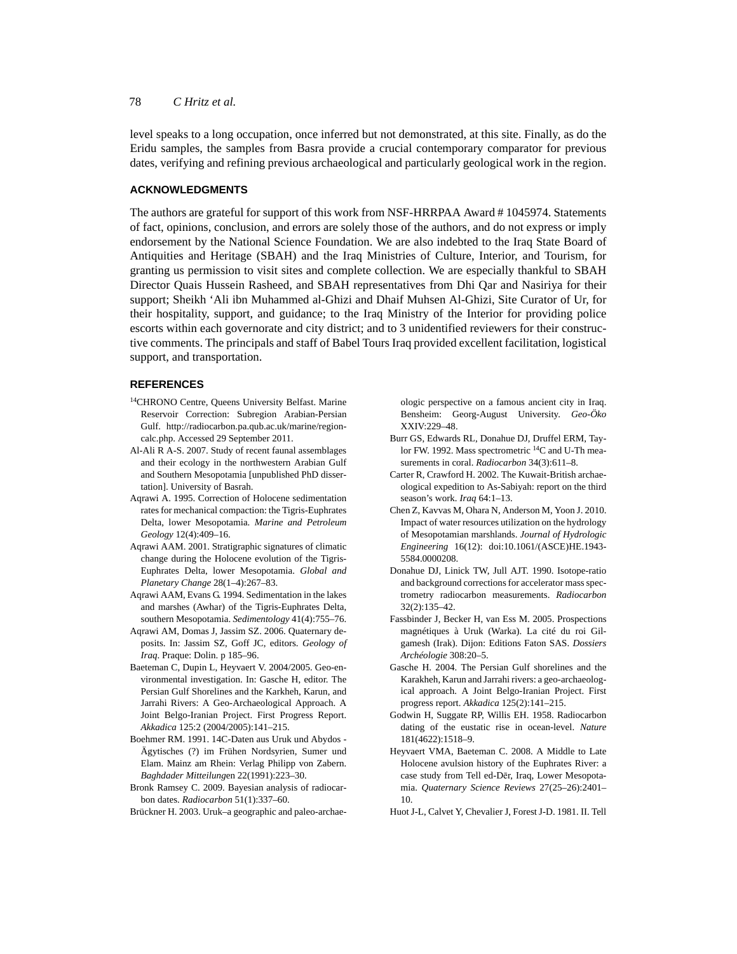level speaks to a long occupation, once inferred but not demonstrated, at this site. Finally, as do the Eridu samples, the samples from Basra provide a crucial contemporary comparator for previous dates, verifying and refining previous archaeological and particularly geological work in the region.

#### **ACKNOWLEDGMENTS**

The authors are grateful for support of this work from NSF-HRRPAA Award # 1045974. Statements of fact, opinions, conclusion, and errors are solely those of the authors, and do not express or imply endorsement by the National Science Foundation. We are also indebted to the Iraq State Board of Antiquities and Heritage (SBAH) and the Iraq Ministries of Culture, Interior, and Tourism, for granting us permission to visit sites and complete collection. We are especially thankful to SBAH Director Quais Hussein Rasheed, and SBAH representatives from Dhi Qar and Nasiriya for their support; Sheikh 'Ali ibn Muhammed al-Ghizi and Dhaif Muhsen Al-Ghizi, Site Curator of Ur, for their hospitality, support, and guidance; to the Iraq Ministry of the Interior for providing police escorts within each governorate and city district; and to 3 unidentified reviewers for their constructive comments. The principals and staff of Babel Tours Iraq provided excellent facilitation, logistical support, and transportation.

## **REFERENCES**

- 14CHRONO Centre, Queens University Belfast. Marine Reservoir Correction: Subregion Arabian-Persian Gulf. http://radiocarbon.pa.qub.ac.uk/marine/regioncalc.php. Accessed 29 September 2011.
- Al-Ali R A-S. 2007. Study of recent faunal assemblages and their ecology in the northwestern Arabian Gulf and Southern Mesopotamia [unpublished PhD dissertation]. University of Basrah.
- Aqrawi A. 1995. Correction of Holocene sedimentation rates for mechanical compaction: the Tigris-Euphrates Delta, lower Mesopotamia. *Marine and Petroleum Geology* 12(4):409–16.
- Aqrawi AAM. 2001. Stratigraphic signatures of climatic change during the Holocene evolution of the Tigris-Euphrates Delta, lower Mesopotamia. *Global and Planetary Change* 28(1–4):267–83.
- Aqrawi AAM, Evans G. 1994. Sedimentation in the lakes and marshes (Awhar) of the Tigris-Euphrates Delta, southern Mesopotamia. *Sedimentology* 41(4):755–76.
- Aqrawi AM, Domas J, Jassim SZ. 2006. Quaternary deposits. In: Jassim SZ, Goff JC, editors. *Geology of Iraq*. Praque: Dolin. p 185–96.
- Baeteman C, Dupin L, Heyvaert V. 2004/2005. Geo-environmental investigation. In: Gasche H, editor. The Persian Gulf Shorelines and the Karkheh, Karun, and Jarrahi Rivers: A Geo-Archaeological Approach. A Joint Belgo-Iranian Project. First Progress Report. *Akkadica* 125:2 (2004/2005):141–215.
- Boehmer RM. 1991. 14C-Daten aus Uruk und Abydos Ägytisches (?) im Frühen Nordsyrien, Sumer und Elam. Mainz am Rhein: Verlag Philipp von Zabern. *Baghdader Mitteilung*en 22(1991):223–30.
- Bronk Ramsey C. 2009. Bayesian analysis of radiocarbon dates. *Radiocarbon* 51(1):337–60.
- Brückner H. 2003. Uruk–a geographic and paleo-archae-

ologic perspective on a famous ancient city in Iraq. Bensheim: Georg-August University. *Geo-Öko* XXIV:229–48.

- Burr GS, Edwards RL, Donahue DJ, Druffel ERM, Taylor FW. 1992. Mass spectrometric <sup>14</sup>C and U-Th measurements in coral. *Radiocarbon* 34(3):611–8.
- Carter R, Crawford H. 2002. The Kuwait-British archaeological expedition to As-Sabiyah: report on the third season's work. *Iraq* 64:1–13.
- Chen Z, Kavvas M, Ohara N, Anderson M, Yoon J. 2010. Impact of water resources utilization on the hydrology of Mesopotamian marshlands. *Journal of Hydrologic Engineering* 16(12): doi:10.1061/(ASCE)HE.1943- 5584.0000208.
- Donahue DJ, Linick TW, Jull AJT. 1990. Isotope-ratio and background corrections for accelerator mass spectrometry radiocarbon measurements. *Radiocarbon* 32(2):135–42.
- Fassbinder J, Becker H, van Ess M. 2005. Prospections magnétiques à Uruk (Warka). La cité du roi Gilgamesh (Irak). Dijon: Editions Faton SAS. *Dossiers Archéologie* 308:20–5.
- Gasche H. 2004. The Persian Gulf shorelines and the Karakheh, Karun and Jarrahi rivers: a geo-archaeological approach. A Joint Belgo-Iranian Project. First progress report. *Akkadica* 125(2):141–215.
- Godwin H, Suggate RP, Willis EH. 1958. Radiocarbon dating of the eustatic rise in ocean-level. *Nature* 181(4622):1518–9.
- Heyvaert VMA, Baeteman C. 2008. A Middle to Late Holocene avulsion history of the Euphrates River: a case study from Tell ed-Dēr, Iraq, Lower Mesopotamia. *Quaternary Science Reviews* 27(25–26):2401– 10.
- Huot J-L, Calvet Y, Chevalier J, Forest J-D. 1981. II. Tell